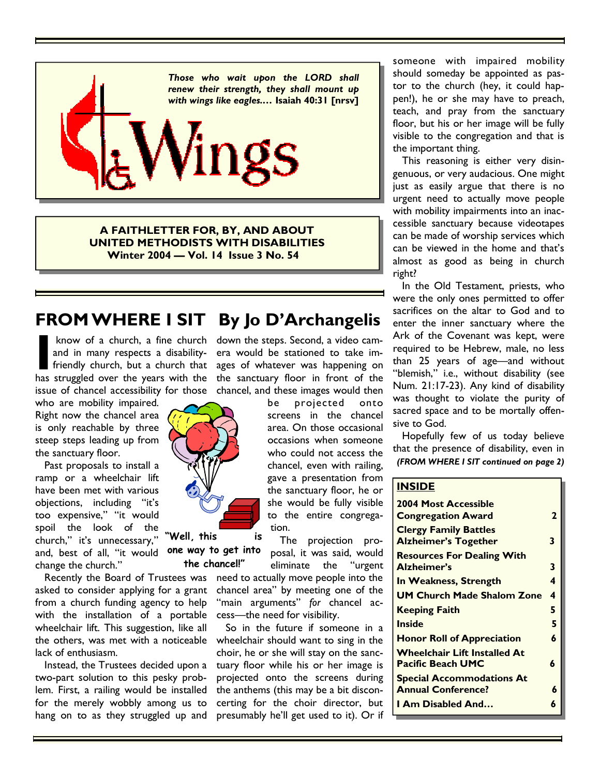

**A FAITHLETTER FOR, BY, AND ABOUT UNITED METHODISTS WITH DISABILITIES Winter 2004 — Vol. 14 Issue 3 No. 54** 

# **FROM WHERE I SIT By Jo D'Archangelis**

know of a church, a fine church and in many respects a disabilityfriendly church, but a church that has struggled over the years with the issue of chancel accessibility for those

who are mobility impaired. Right now the chancel area is only reachable by three steep steps leading up from the sanctuary floor.

 Past proposals to install a ramp or a wheelchair lift have been met with various objections, including "it's too expensive," "it would spoil the look of the church," it's unnecessary," and, best of all, "it would change the church."

 Recently the Board of Trustees was asked to consider applying for a grant from a church funding agency to help with the installation of a portable wheelchair lift. This suggestion, like all the others, was met with a noticeable lack of enthusiasm.

 Instead, the Trustees decided upon a two-part solution to this pesky problem. First, a railing would be installed for the merely wobbly among us to hang on to as they struggled up and



be projected onto screens in the chancel area. On those occasional occasions when someone who could not access the chancel, even with railing, gave a presentation from the sanctuary floor, he or she would be fully visible to the entire congregation.

 The projection proposal, it was said, would eliminate the "urgent need to actually move people into the chancel area" by meeting one of the "main arguments" *for* chancel access—the need for visibility. **"Well, this is** 

> So in the future if someone in a wheelchair should want to sing in the choir, he or she will stay on the sanctuary floor while his or her image is projected onto the screens during the anthems (this may be a bit disconcerting for the choir director, but presumably he'll get used to it). Or if

someone with impaired mobility should someday be appointed as pastor to the church (hey, it could happen!), he or she may have to preach, teach, and pray from the sanctuary floor, but his or her image will be fully visible to the congregation and that is the important thing.

 This reasoning is either very disingenuous, or very audacious. One might just as easily argue that there is no urgent need to actually move people with mobility impairments into an inaccessible sanctuary because videotapes can be made of worship services which can be viewed in the home and that's almost as good as being in church right?

 In the Old Testament, priests, who were the only ones permitted to offer sacrifices on the altar to God and to enter the inner sanctuary where the Ark of the Covenant was kept, were required to be Hebrew, male, no less than 25 years of age—and without "blemish," i.e., without disability (see Num. 21:17-23). Any kind of disability was thought to violate the purity of sacred space and to be mortally offensive to God.

 Hopefully few of us today believe that the presence of disability, even in *(FROM WHERE I SIT continued on page 2)* 

#### **INSIDE**

| <b>2004 Most Accessible</b><br><b>Congregation Award</b>    | $\mathbf{z}$ |
|-------------------------------------------------------------|--------------|
| <b>Clergy Family Battles</b><br><b>Alzheimer's Together</b> | 3            |
| <b>Resources For Dealing With</b><br><b>Alzheimer's</b>     | 3            |
| In Weakness, Strength                                       | 4            |
| <b>UM Church Made Shalom Zone</b>                           | 4            |
| <b>Keeping Faith</b>                                        | 5            |
| Inside                                                      | 5            |
| <b>Honor Roll of Appreciation</b>                           | 6            |
| Wheelchair Lift Installed At<br><b>Pacific Beach UMC</b>    | 6            |
| <b>Special Accommodations At</b>                            |              |
| <b>Annual Conference?</b>                                   | 6            |
| I Am Disabled And                                           | 6            |



**one way to get into the chancel!"**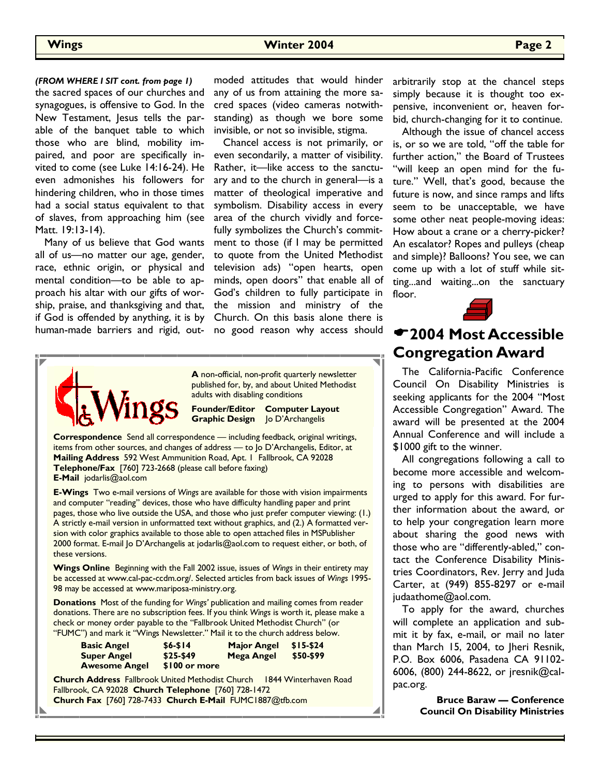the sacred spaces of our churches and synagogues, is offensive to God. In the New Testament, Jesus tells the parable of the banquet table to which those who are blind, mobility impaired, and poor are specifically invited to come (see Luke 14:16-24). He even admonishes his followers for hindering children, who in those times had a social status equivalent to that of slaves, from approaching him (see Matt. 19:13-14). *(FROM WHERE I SIT cont. from page 1)* 

 Many of us believe that God wants all of us—no matter our age, gender, race, ethnic origin, or physical and mental condition—to be able to approach his altar with our gifts of worship, praise, and thanksgiving and that, if God is offended by anything, it is by human-made barriers and rigid, outmoded attitudes that would hinder any of us from attaining the more sacred spaces (video cameras notwithstanding) as though we bore some invisible, or not so invisible, stigma.

 Chancel access is not primarily, or even secondarily, a matter of visibility. Rather, it—like access to the sanctuary and to the church in general—is a matter of theological imperative and symbolism. Disability access in every area of the church vividly and forcefully symbolizes the Church's commitment to those (if I may be permitted to quote from the United Methodist television ads) "open hearts, open minds, open doors" that enable all of God's children to fully participate in the mission and ministry of the Church. On this basis alone there is no good reason why access should



**A** non-official, non-profit quarterly newsletter published for, by, and about United Methodist adults with disabling conditions

**Founder/Editor Computer Layout Graphic Design** Jo D'Archangelis

**Correspondence** Send all correspondence — including feedback, original writings, items from other sources, and changes of address — to Jo D'Archangelis, Editor, at **Mailing Address** 592 West Ammunition Road, Apt. 1 Fallbrook, CA 92028 **Telephone/Fax** [760] 723-2668 (please call before faxing) **E-Mail** jodarlis@aol.com

**E-Wings** Two e-mail versions of *Wings* are available for those with vision impairments and computer "reading" devices, those who have difficulty handling paper and print pages, those who live outside the USA, and those who just prefer computer viewing: (1.) A strictly e-mail version in unformatted text without graphics, and (2.) A formatted version with color graphics available to those able to open attached files in MSPublisher 2000 format. E-mail Jo D'Archangelis at jodarlis@aol.com to request either, or both, of these versions.

**Wings Online** Beginning with the Fall 2002 issue, issues of *Wings* in their entirety may be accessed at www.cal-pac-ccdm.org/. Selected articles from back issues of *Wings* 1995- 98 may be accessed at www.mariposa-ministry.org.

**Donations** Most of the funding for *Wings'* publication and mailing comes from reader donations. There are no subscription fees. If you think *Wings* is worth it, please make a check or money order payable to the "Fallbrook United Methodist Church" (or "FUMC") and mark it "Wings Newsletter." Mail it to the church address below.

| <b>Basic Angel</b>   | $$6 - $14$    | <b>Major Angel</b> | $$15-$24$ |
|----------------------|---------------|--------------------|-----------|
| <b>Super Angel</b>   | \$25-\$49     | Mega Angel         | \$50-\$99 |
| <b>Awesome Angel</b> | \$100 or more |                    |           |

**Church Address** Fallbrook United Methodist Church 1844 Winterhaven Road Fallbrook, CA 92028 **Church Telephone** [760] 728-1472 **Church Fax** [760] 728-7433 **Church E-Mail** FUMC1887@tfb.com

arbitrarily stop at the chancel steps simply because it is thought too expensive, inconvenient or, heaven forbid, church-changing for it to continue.

 Although the issue of chancel access is, or so we are told, "off the table for further action," the Board of Trustees "will keep an open mind for the future." Well, that's good, because the future is now, and since ramps and lifts seem to be unacceptable, we have some other neat people-moving ideas: How about a crane or a cherry-picker? An escalator? Ropes and pulleys (cheap and simple)? Balloons? You see, we can come up with a lot of stuff while sitting...and waiting...on the sanctuary floor.



## **2004 Most Accessible Congregation Award**

 The California-Pacific Conference Council On Disability Ministries is seeking applicants for the 2004 "Most Accessible Congregation" Award. The award will be presented at the 2004 Annual Conference and will include a \$1000 gift to the winner.

 All congregations following a call to become more accessible and welcoming to persons with disabilities are urged to apply for this award. For further information about the award, or to help your congregation learn more about sharing the good news with those who are "differently-abled," contact the Conference Disability Ministries Coordinators, Rev. Jerry and Juda Carter, at (949) 855-8297 or e-mail judaathome@aol.com.

 To apply for the award, churches will complete an application and submit it by fax, e-mail, or mail no later than March 15, 2004, to Jheri Resnik, P.O. Box 6006, Pasadena CA 91102- 6006, (800) 244-8622, or jresnik@calpac.org.

> **Bruce Baraw — Conference Council On Disability Ministries**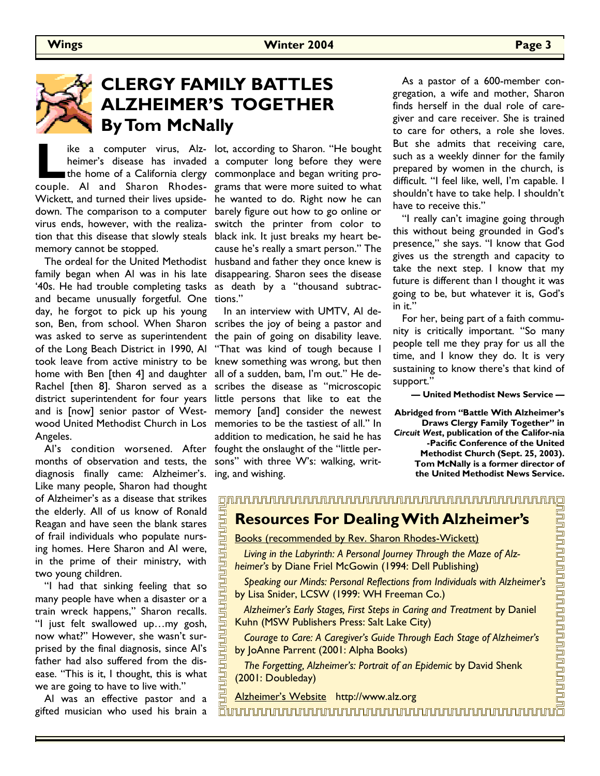

# **CLERGY FAMILY BATTLES ALZHEIMER'S TOGETHER By Tom McNally**

<u>ununununu</u>

**Latter a computer virus, Alz-**<br> **Latter here is a fixed the home of a California clergy<br>
<b>Latter and Sharon Rhodes-**<br> **Land Sharon Rhodes**couple. Al and Sharon Rhodes-grams that were more suited to what Wickett, and turned their lives upside-he wanted to do. Right now he can down. The comparison to a computer virus ends, however, with the realization that this disease that slowly steals memory cannot be stopped.

 The ordeal for the United Methodist husband and father they once knew is family began when Al was in his late '40s. He had trouble completing tasks and became unusually forgetful. One day, he forgot to pick up his young son, Ben, from school. When Sharon was asked to serve as superintendent of the Long Beach District in 1990, Al took leave from active ministry to be home with Ben [then 4] and daughter Rachel [then 8]. Sharon served as a district superintendent for four years and is [now] senior pastor of Westwood United Methodist Church in Los Angeles.

 Al's condition worsened. After months of observation and tests, the diagnosis finally came: Alzheimer's. Like many people, Sharon had thought of Alzheimer's as a disease that strikes the elderly. All of us know of Ronald Reagan and have seen the blank stares of frail individuals who populate nursing homes. Here Sharon and Al were, in the prime of their ministry, with two young children.

 "I had that sinking feeling that so many people have when a disaster or a train wreck happens," Sharon recalls. "I just felt swallowed up…my gosh, now what?" However, she wasn't surprised by the final diagnosis, since Al's father had also suffered from the disease. "This is it, I thought, this is what we are going to have to live with."

 Al was an effective pastor and a gifted musician who used his brain a

heimer's disease has invaded a computer long before they were the home of a California clergy commonplace and began writing proike a computer virus, Alz- lot, according to Sharon. "He bought barely figure out how to go online or switch the printer from color to black ink. It just breaks my heart because he's really a smart person." The disappearing. Sharon sees the disease as death by a "thousand subtractions."

> In an interview with UMTV, Al describes the joy of being a pastor and the pain of going on disability leave. "That was kind of tough because I knew something was wrong, but then all of a sudden, bam, I'm out." He describes the disease as "microscopic little persons that like to eat the memory [and] consider the newest memories to be the tastiest of all." In addition to medication, he said he has fought the onslaught of the "little persons" with three W's: walking, writing, and wishing.

 As a pastor of a 600-member congregation, a wife and mother, Sharon finds herself in the dual role of caregiver and care receiver. She is trained to care for others, a role she loves. But she admits that receiving care, such as a weekly dinner for the family prepared by women in the church, is difficult. "I feel like, well, I'm capable. I shouldn't have to take help. I shouldn't have to receive this."

 "I really can't imagine going through this without being grounded in God's presence," she says. "I know that God gives us the strength and capacity to take the next step. I know that my future is different than I thought it was going to be, but whatever it is, God's in it.'

 For her, being part of a faith community is critically important. "So many people tell me they pray for us all the time, and I know they do. It is very sustaining to know there's that kind of support."

**— United Methodist News Service —** 

**Abridged from "Battle With Alzheimer's Draws Clergy Family Together" in**  *Circuit West***, publication of the Califor-nia -Pacific Conference of the United Methodist Church (Sept. 25, 2003). Tom McNally is a former director of the United Methodist News Service.**

<u>n kung berkualan pembungan me</u>

### 

## **Resources For Dealing With Alzheimer's**

Books (recommended by Rev. Sharon Rhodes-Wickett)

 *Living in the Labyrinth: A Personal Journey Through the Maze of Alzheimer's* by Diane Friel McGowin (1994: Dell Publishing)

 *Speaking our Minds: Personal Reflections from Individuals with Alzheimer's* by Lisa Snider, LCSW (1999: WH Freeman Co.)

 *Alzheimer's Early Stages, First Steps in Caring and Treatment* by Daniel Kuhn (MSW Publishers Press: Salt Lake City)

 *Courage to Care: A Caregiver's Guide Through Each Stage of Alzheimer's* by JoAnne Parrent (2001: Alpha Books)

 *The Forgetting, Alzheimer's: Portrait of an Epidemic* by David Shenk (2001: Doubleday)

Alzheimer's Website http://www.alz.org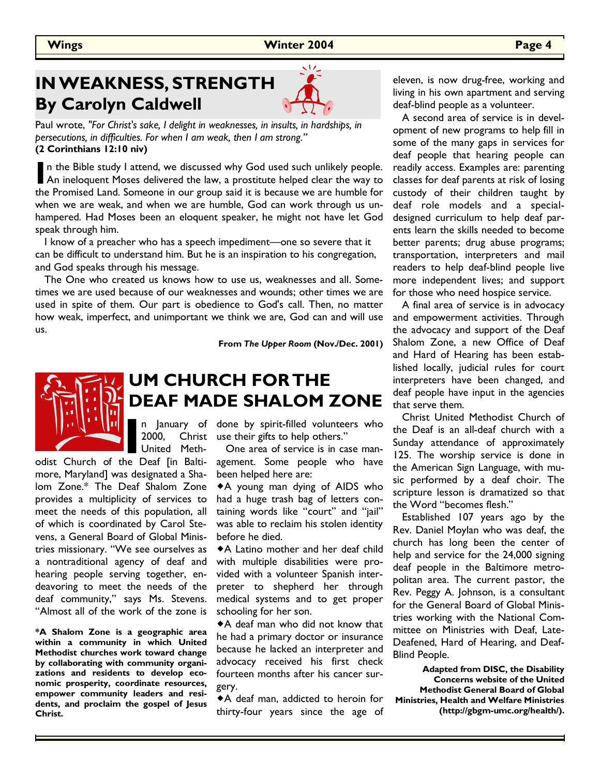# **IN WEAKNESS, STRENGTH By Carolyn Caldwell**



Paul wrote, *"For Christ's sake, I delight in weaknesses, in insults, in hardships, in persecutions, in difficulties. For when I am weak, then I am strong."*  **(2 Corinthians 12:10 niv)**

In the Bible study I attend, we discussed why God used such unlikely people.<br>An ineloquent Moses delivered the law, a prostitute helped clear the way to<br>the Premised Land Semesons in our group said it is because we are bum the Promised Land. Someone in our group said it is because we are humble for when we are weak, and when we are humble, God can work through us unhampered. Had Moses been an eloquent speaker, he might not have let God speak through him.

 I know of a preacher who has a speech impediment—one so severe that it can be difficult to understand him. But he is an inspiration to his congregation, and God speaks through his message.

 The One who created us knows how to use us, weaknesses and all. Sometimes we are used because of our weaknesses and wounds; other times we are used in spite of them. Our part is obedience to God's call. Then, no matter how weak, imperfect, and unimportant we think we are, God can and will use us.

**From** *The Upper Room* **(Nov./Dec. 2001)** 



# **UM CHURCH FOR THE DEAF MADE SHALOM ZONE**

2000, Christ United Meth-

odist Church of the Deaf [in Baltimore, Maryland] was designated a Shalom Zone.\* The Deaf Shalom Zone provides a multiplicity of services to meet the needs of this population, all of which is coordinated by Carol Stevens, a General Board of Global Ministries missionary. "We see ourselves as a nontraditional agency of deaf and hearing people serving together, endeavoring to meet the needs of the deaf community," says Ms. Stevens. "Almost all of the work of the zone is

**\*A Shalom Zone is a geographic area within a community in which United Methodist churches work toward change by collaborating with community organizations and residents to develop economic prosperity, coordinate resources, empower community leaders and residents, and proclaim the gospel of Jesus Christ.** 

**I I**n January of done by spirit-filled volunteers who 2000, Christ use their gifts to help others."<br>United Meth- One area of service is in case man-<br>he Deaf [in Balti- agement. Some people who have use their gifts to help others."

 One area of service is in case management. Some people who have been helped here are:

-A young man dying of AIDS who had a huge trash bag of letters containing words like "court" and "jail" was able to reclaim his stolen identity before he died.

-A Latino mother and her deaf child with multiple disabilities were provided with a volunteer Spanish interpreter to shepherd her through medical systems and to get proper schooling for her son.

-A deaf man who did not know that he had a primary doctor or insurance because he lacked an interpreter and advocacy received his first check fourteen months after his cancer surgery.

-A deaf man, addicted to heroin for thirty-four years since the age of

eleven, is now drug-free, working and living in his own apartment and serving deaf-blind people as a volunteer.

 A second area of service is in development of new programs to help fill in some of the many gaps in services for deaf people that hearing people can readily access. Examples are: parenting classes for deaf parents at risk of losing custody of their children taught by deaf role models and a specialdesigned curriculum to help deaf parents learn the skills needed to become better parents; drug abuse programs; transportation, interpreters and mail readers to help deaf-blind people live more independent lives; and support for those who need hospice service.

 A final area of service is in advocacy and empowerment activities. Through the advocacy and support of the Deaf Shalom Zone, a new Office of Deaf and Hard of Hearing has been established locally, judicial rules for court interpreters have been changed, and deaf people have input in the agencies that serve them.

 Christ United Methodist Church of the Deaf is an all-deaf church with a Sunday attendance of approximately 125. The worship service is done in the American Sign Language, with music performed by a deaf choir. The scripture lesson is dramatized so that the Word "becomes flesh."

 Established 107 years ago by the Rev. Daniel Moylan who was deaf, the church has long been the center of help and service for the 24,000 signing deaf people in the Baltimore metropolitan area. The current pastor, the Rev. Peggy A. Johnson, is a consultant for the General Board of Global Ministries working with the National Committee on Ministries with Deaf, Late-Deafened, Hard of Hearing, and Deaf-Blind People.

 **Adapted from DISC, the Disability Concerns website of the United Methodist General Board of Global Ministries, Health and Welfare Ministries (http://gbgm-umc.org/health/).**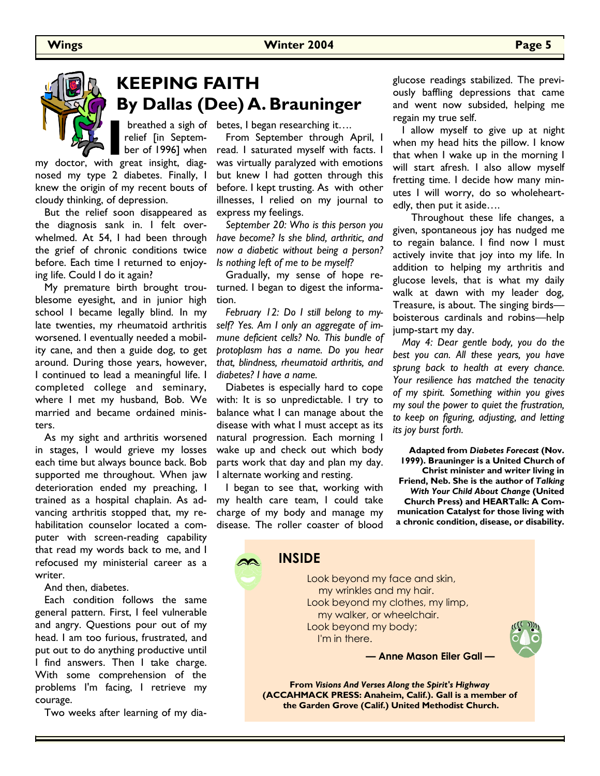#### **Wings Winter 2004 Page 5**

# **KEEPING FAITH By Dallas (Dee) A. Brauninger**

**I breathed a sigh of relief [in Septem-**<br>
ber of 1996] when<br>
my doctor, with great insight, diagrelief [in September of 1996] when

nosed my type 2 diabetes. Finally, I knew the origin of my recent bouts of cloudy thinking, of depression.

 But the relief soon disappeared as the diagnosis sank in. I felt overwhelmed. At 54, I had been through the grief of chronic conditions twice before. Each time I returned to enjoying life. Could I do it again?

 My premature birth brought troublesome eyesight, and in junior high school I became legally blind. In my late twenties, my rheumatoid arthritis worsened. I eventually needed a mobility cane, and then a guide dog, to get around. During those years, however, I continued to lead a meaningful life. I completed college and seminary, where I met my husband, Bob. We married and became ordained ministers.

 As my sight and arthritis worsened in stages, I would grieve my losses each time but always bounce back. Bob supported me throughout. When jaw deterioration ended my preaching, I trained as a hospital chaplain. As advancing arthritis stopped that, my rehabilitation counselor located a computer with screen-reading capability that read my words back to me, and I refocused my ministerial career as a writer.

And then, diabetes.

 Each condition follows the same general pattern. First, I feel vulnerable and angry. Questions pour out of my head. I am too furious, frustrated, and put out to do anything productive until I find answers. Then I take charge. With some comprehension of the problems I'm facing, I retrieve my courage.

Two weeks after learning of my dia-

breathed a sigh of betes, I began researching it....

 From September through April, I read. I saturated myself with facts. I was virtually paralyzed with emotions but knew I had gotten through this before. I kept trusting. As with other illnesses, I relied on my journal to express my feelings.

 *September 20: Who is this person you have become? Is she blind, arthritic, and now a diabetic without being a person? Is nothing left of me to be myself?* 

 Gradually, my sense of hope returned. I began to digest the information.

 *February 12: Do I still belong to myself? Yes. Am I only an aggregate of immune deficient cells? No. This bundle of protoplasm has a name. Do you hear that, blindness, rheumatoid arthritis, and diabetes? I have a name.* 

 Diabetes is especially hard to cope with: It is so unpredictable. I try to balance what I can manage about the disease with what I must accept as its natural progression. Each morning I wake up and check out which body parts work that day and plan my day. I alternate working and resting.

 I began to see that, working with my health care team, I could take charge of my body and manage my disease. The roller coaster of blood

 **INSIDE** 

glucose readings stabilized. The previously baffling depressions that came and went now subsided, helping me regain my true self.

 I allow myself to give up at night when my head hits the pillow. I know that when I wake up in the morning I will start afresh. I also allow myself fretting time. I decide how many minutes I will worry, do so wholeheartedly, then put it aside….

 Throughout these life changes, a given, spontaneous joy has nudged me to regain balance. I find now I must actively invite that joy into my life. In addition to helping my arthritis and glucose levels, that is what my daily walk at dawn with my leader dog, Treasure, is about. The singing birds boisterous cardinals and robins—help jump-start my day.

 *May 4: Dear gentle body, you do the best you can. All these years, you have sprung back to health at every chance. Your resilience has matched the tenacity of my spirit. Something within you gives my soul the power to quiet the frustration, to keep on figuring, adjusting, and letting its joy burst forth.* 

**Adapted from** *Diabetes Forecast* **(Nov. 1999). Brauninger is a United Church of Christ minister and writer living in Friend, Neb. She is the author of** *Talking With Your Child About Change* **(United Church Press) and HEARTalk: A Communication Catalyst for those living with a chronic condition, disease, or disability.**

 Look beyond my face and skin, my wrinkles and my hair. Look beyond my clothes, my limp, my walker, or wheelchair. Look beyond my body; I'm in there. **— Anne Mason Eiler Gall —**

**From** *Visions And Verses Along the Spirit's Highway* **(ACCAHMACK PRESS: Anaheim, Calif.). Gall is a member of the Garden Grove (Calif.) United Methodist Church.**